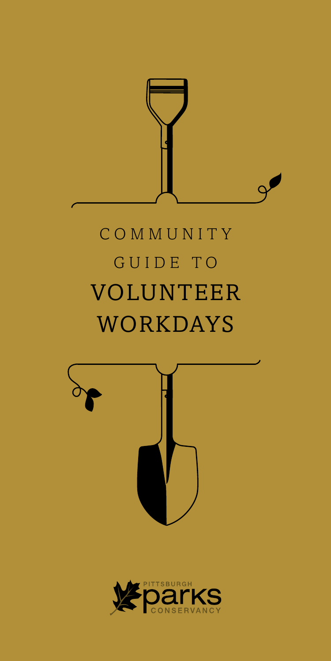

# C O M M U N I T Y GUIDE TO **VOLUNTEER** WORKDAYS



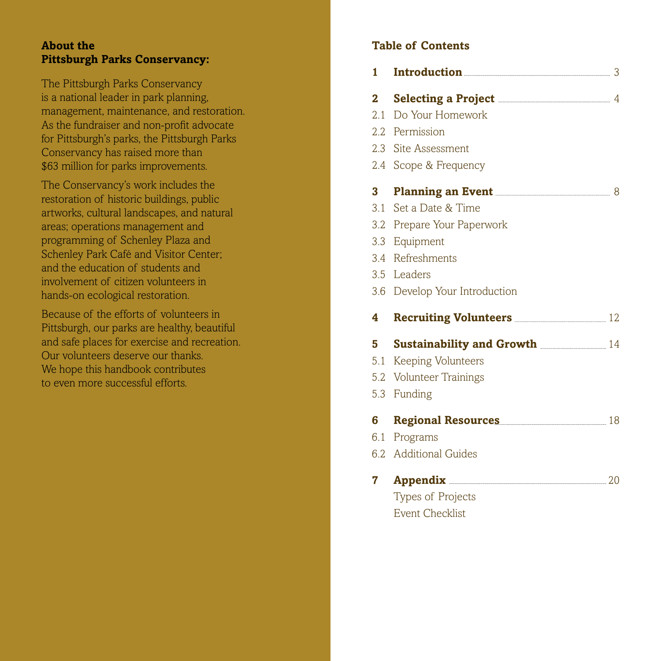#### **About the Pittsburgh Parks Conservancy:**

The Pittsburgh Parks Conservancy is a national leader in park planning, management, maintenance, and restoration. As the fundraiser and non-profit advocate for Pittsburgh's parks, the Pittsburgh Parks Conservancy has raised more than \$63 million for parks improvements.

The Conservancy's work includes the restoration of historic buildings, public artworks, cultural landscapes, and natural areas; operations management and programming of Schenley Plaza and Schenley Park Café and Visitor Center; and the education of students and involvement of citizen volunteers in hands-on ecological restoration.

Because of the efforts of volunteers in Pittsburgh, our parks are healthy, beautiful and safe places for exercise and recreation. Our volunteers deserve our thanks. We hope this handbook contributes to even more successful efforts.

### **Table of Contents**

| 1            | Introduction 3                                                                 |  |
|--------------|--------------------------------------------------------------------------------|--|
| $\mathbf{2}$ | <b>Selecting a Project <i>CONDER A Project CONDER A PROJECT A PROPERTY</i></b> |  |
| 2.1          | Do Your Homework                                                               |  |
|              | 2.2 Permission                                                                 |  |
|              | 2.3 Site Assessment                                                            |  |
|              | 2.4 Scope & Frequency                                                          |  |
| 3            | Planning an Event <b>Exercise Act Act 2018</b> 8                               |  |
| 3.1          | Set a Date & Time                                                              |  |
|              | 3.2 Prepare Your Paperwork                                                     |  |
|              | 3.3 Equipment                                                                  |  |
|              | 3.4 Refreshments                                                               |  |
|              | 3.5 Leaders                                                                    |  |
|              | 3.6 Develop Your Introduction                                                  |  |
| 4            | Recruiting Volunteers <b>Manual</b> 22                                         |  |
| 5            |                                                                                |  |
| 5.1          | <b>Keeping Volunteers</b>                                                      |  |
|              | 5.2 Volunteer Trainings                                                        |  |
|              | 5.3 Funding                                                                    |  |
| 6            | Regional Resources 18                                                          |  |
| 6.1          | Programs                                                                       |  |
|              | 6.2 Additional Guides                                                          |  |
| 7            |                                                                                |  |
|              | Types of Projects                                                              |  |
|              | <b>Event Checklist</b>                                                         |  |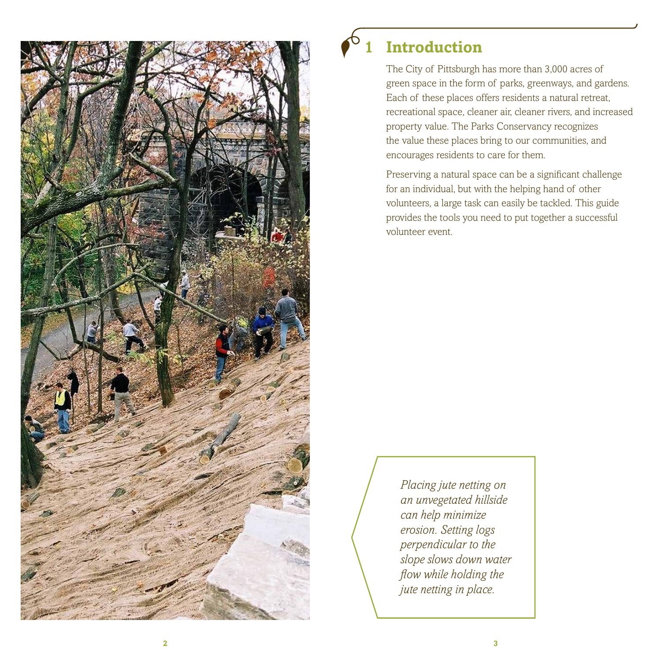

## **1 Introduction**

The City of Pittsburgh has more than 3,000 acres of green space in the form of parks, greenways, and gardens. Each of these places offers residents a natural retreat, recreational space, cleaner air, cleaner rivers, and increased property value. The Parks Conservancy recognizes the value these places bring to our communities, and encourages residents to care for them.

Preserving a natural space can be a significant challenge for an individual, but with the helping hand of other volunteers, a large task can easily be tackled. This guide provides the tools you need to put together a successful volunteer event.

*Placing jute netting on an unvegetated hillside can help minimize erosion. Setting logs perpendicular to the slope slows down water flow while holding the jute netting in place.*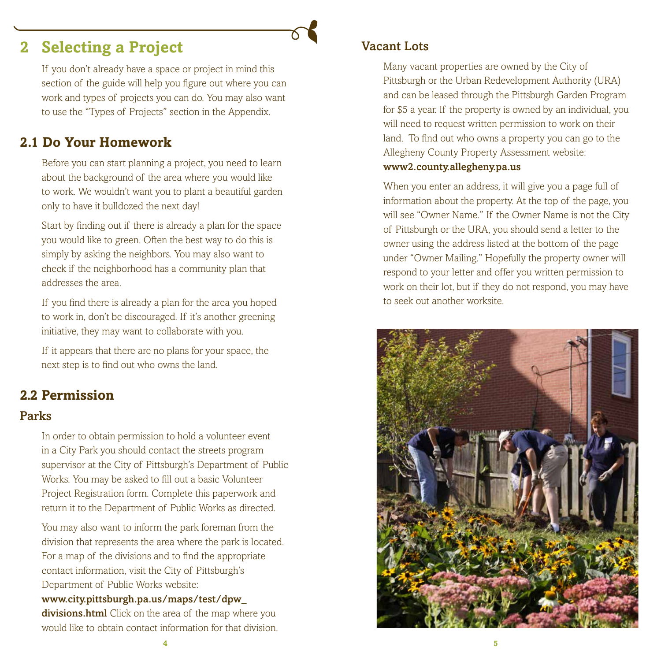### **2 Selecting a Project**

If you don't already have a space or project in mind this section of the guide will help you figure out where you can work and types of projects you can do. You may also want to use the "Types of Projects" section in the Appendix.

### **2.1 Do Your Homework**

Before you can start planning a project, you need to learn about the background of the area where you would like to work. We wouldn't want you to plant a beautiful garden only to have it bulldozed the next day!

Start by finding out if there is already a plan for the space you would like to green. Often the best way to do this is simply by asking the neighbors. You may also want to check if the neighborhood has a community plan that addresses the area.

If you find there is already a plan for the area you hoped to work in, don't be discouraged. If it's another greening initiative, they may want to collaborate with you.

If it appears that there are no plans for your space, the next step is to find out who owns the land.

### **2.2 Permission**

#### Parks

In order to obtain permission to hold a volunteer event in a City Park you should contact the streets program supervisor at the City of Pittsburgh's Department of Public Works. You may be asked to fill out a basic Volunteer Project Registration form. Complete this paperwork and return it to the Department of Public Works as directed.

You may also want to inform the park foreman from the division that represents the area where the park is located. For a map of the divisions and to find the appropriate contact information, visit the City of Pittsburgh's Department of Public Works website:

#### www.city.pittsburgh.pa.us/maps/test/dpw\_

divisions.html Click on the area of the map where you would like to obtain contact information for that division.

#### Vacant Lots

Many vacant properties are owned by the City of Pittsburgh or the Urban Redevelopment Authority (URA) and can be leased through the Pittsburgh Garden Program for \$5 a year. If the property is owned by an individual, you will need to request written permission to work on their land. To find out who owns a property you can go to the Allegheny County Property Assessment website:

#### www2.county.allegheny.pa.us

When you enter an address, it will give you a page full of information about the property. At the top of the page, you will see "Owner Name." If the Owner Name is not the City of Pittsburgh or the URA, you should send a letter to the owner using the address listed at the bottom of the page under "Owner Mailing." Hopefully the property owner will respond to your letter and offer you written permission to work on their lot, but if they do not respond, you may have to seek out another worksite.

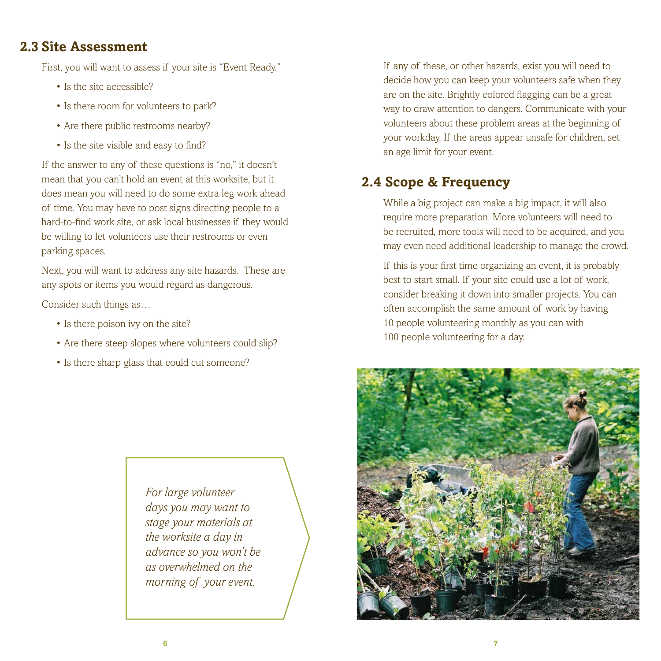### **2.3 Site Assessment**

First, you will want to assess if your site is "Event Ready."

- Is the site accessible?
- Is there room for volunteers to park?
- Are there public restrooms nearby?
- Is the site visible and easy to find?

If the answer to any of these questions is "no," it doesn't mean that you can't hold an event at this worksite, but it does mean you will need to do some extra leg work ahead of time. You may have to post signs directing people to a hard-to-find work site, or ask local businesses if they would be willing to let volunteers use their restrooms or even parking spaces.

Next, you will want to address any site hazards. These are any spots or items you would regard as dangerous.

Consider such things as…

- Is there poison ivy on the site?
- Are there steep slopes where volunteers could slip?
- Is there sharp glass that could cut someone?

*For large volunteer days you may want to stage your materials at the worksite a day in advance so you won't be as overwhelmed on the morning of your event.*

If any of these, or other hazards, exist you will need to decide how you can keep your volunteers safe when they are on the site. Brightly colored flagging can be a great way to draw attention to dangers. Communicate with your volunteers about these problem areas at the beginning of your workday. If the areas appear unsafe for children, set an age limit for your event.

### **2.4 Scope & Frequency**

While a big project can make a big impact, it will also require more preparation. More volunteers will need to be recruited, more tools will need to be acquired, and you may even need additional leadership to manage the crowd.

If this is your first time organizing an event, it is probably best to start small. If your site could use a lot of work, consider breaking it down into smaller projects. You can often accomplish the same amount of work by having 10 people volunteering monthly as you can with 100 people volunteering for a day.

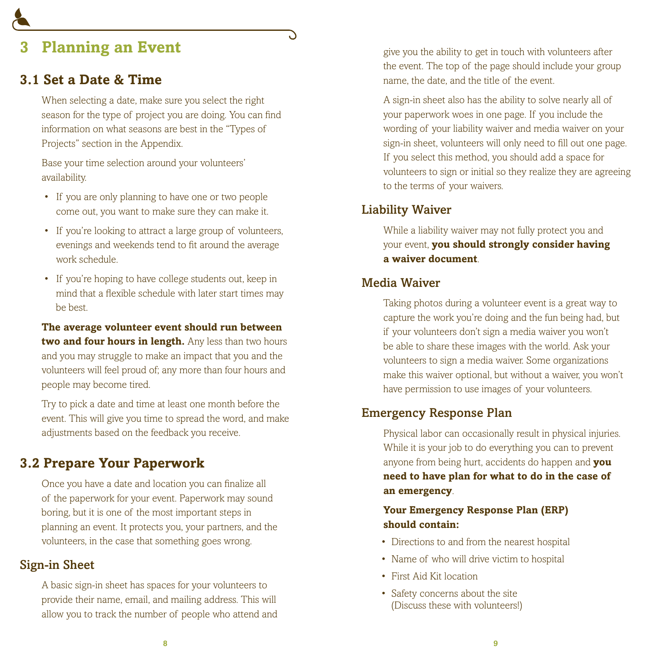### **3 Planning an Event**

### **3.1 Set a Date & Time**

When selecting a date, make sure you select the right season for the type of project you are doing. You can find information on what seasons are best in the "Types of Projects" section in the Appendix.

Base your time selection around your volunteers' availability.

- If you are only planning to have one or two people come out, you want to make sure they can make it.
- If you're looking to attract a large group of volunteers, evenings and weekends tend to fit around the average work schedule.
- If you're hoping to have college students out, keep in mind that a flexible schedule with later start times may be best.

**The average volunteer event should run between two and four hours in length.** Any less than two hours and you may struggle to make an impact that you and the volunteers will feel proud of; any more than four hours and people may become tired.

Try to pick a date and time at least one month before the event. This will give you time to spread the word, and make adjustments based on the feedback you receive.

### **3.2 Prepare Your Paperwork**

Once you have a date and location you can finalize all of the paperwork for your event. Paperwork may sound boring, but it is one of the most important steps in planning an event. It protects you, your partners, and the volunteers, in the case that something goes wrong.

#### Sign-in Sheet

A basic sign-in sheet has spaces for your volunteers to provide their name, email, and mailing address. This will allow you to track the number of people who attend and give you the ability to get in touch with volunteers after the event. The top of the page should include your group name, the date, and the title of the event.

A sign-in sheet also has the ability to solve nearly all of your paperwork woes in one page. If you include the wording of your liability waiver and media waiver on your sign-in sheet, volunteers will only need to fill out one page. If you select this method, you should add a space for volunteers to sign or initial so they realize they are agreeing to the terms of your waivers.

#### Liability Waiver

While a liability waiver may not fully protect you and your event, **you should strongly consider having a waiver document**.

### Media Waiver

Taking photos during a volunteer event is a great way to capture the work you're doing and the fun being had, but if your volunteers don't sign a media waiver you won't be able to share these images with the world. Ask your volunteers to sign a media waiver. Some organizations make this waiver optional, but without a waiver, you won't have permission to use images of your volunteers.

#### Emergency Response Plan

Physical labor can occasionally result in physical injuries. While it is your job to do everything you can to prevent anyone from being hurt, accidents do happen and **you need to have plan for what to do in the case of an emergency**.

#### **Your Emergency Response Plan (ERP) should contain:**

- Directions to and from the nearest hospital
- Name of who will drive victim to hospital
- First Aid Kit location
- Safety concerns about the site (Discuss these with volunteers!)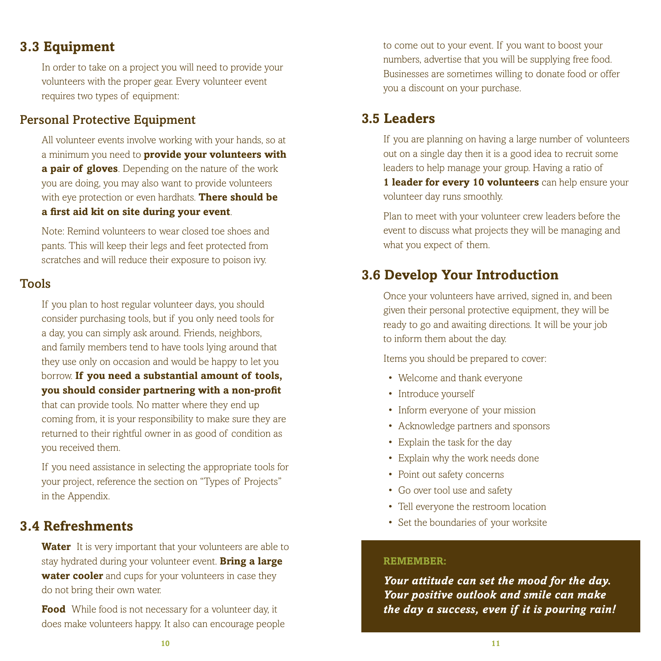### **3.3 Equipment**

In order to take on a project you will need to provide your volunteers with the proper gear. Every volunteer event requires two types of equipment:

#### Personal Protective Equipment

All volunteer events involve working with your hands, so at a minimum you need to **provide your volunteers with a pair of gloves**. Depending on the nature of the work you are doing, you may also want to provide volunteers with eye protection or even hardhats. **There should be a first aid kit on site during your event**.

Note: Remind volunteers to wear closed toe shoes and pants. This will keep their legs and feet protected from scratches and will reduce their exposure to poison ivy.

#### Tools

If you plan to host regular volunteer days, you should consider purchasing tools, but if you only need tools for a day, you can simply ask around. Friends, neighbors, and family members tend to have tools lying around that they use only on occasion and would be happy to let you borrow. **If you need a substantial amount of tools, you should consider partnering with a non-profit**

that can provide tools. No matter where they end up coming from, it is your responsibility to make sure they are returned to their rightful owner in as good of condition as you received them.

If you need assistance in selecting the appropriate tools for your project, reference the section on "Types of Projects" in the Appendix.

### **3.4 Refreshments**

**Water** It is very important that your volunteers are able to stay hydrated during your volunteer event. **Bring a large water cooler** and cups for your volunteers in case they do not bring their own water.

**Food** While food is not necessary for a volunteer day, it does make volunteers happy. It also can encourage people to come out to your event. If you want to boost your numbers, advertise that you will be supplying free food. Businesses are sometimes willing to donate food or offer you a discount on your purchase.

### **3.5 Leaders**

If you are planning on having a large number of volunteers out on a single day then it is a good idea to recruit some leaders to help manage your group. Having a ratio of **1 leader for every 10 volunteers** can help ensure your volunteer day runs smoothly.

Plan to meet with your volunteer crew leaders before the event to discuss what projects they will be managing and what you expect of them.

### **3.6 Develop Your Introduction**

Once your volunteers have arrived, signed in, and been given their personal protective equipment, they will be ready to go and awaiting directions. It will be your job to inform them about the day.

Items you should be prepared to cover:

- Welcome and thank everyone
- Introduce yourself
- Inform everyone of your mission
- Acknowledge partners and sponsors
- Explain the task for the day
- Explain why the work needs done
- Point out safety concerns
- Go over tool use and safety
- Tell everyone the restroom location
- Set the boundaries of your worksite

#### **Remember:**

*Your attitude can set the mood for the day. Your positive outlook and smile can make the day a success, even if it is pouring rain!*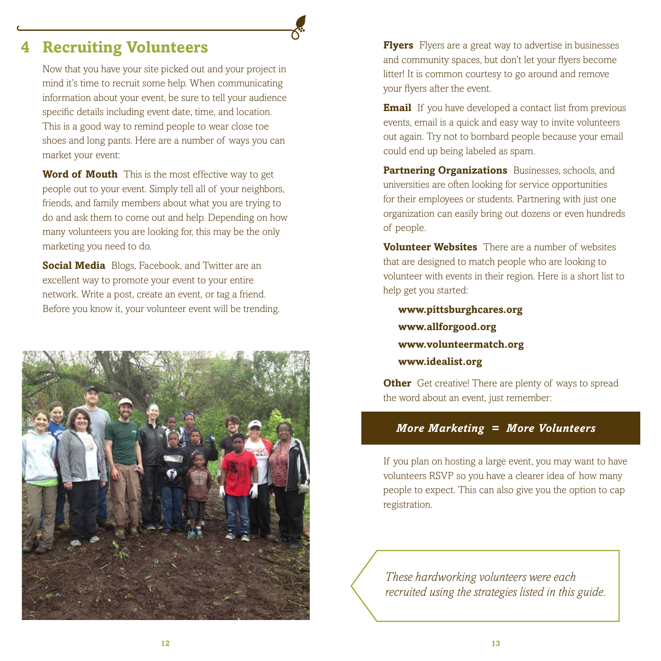### **4 Recruiting Volunteers**

Now that you have your site picked out and your project in mind it's time to recruit some help. When communicating information about your event, be sure to tell your audience specific details including event date, time, and location. This is a good way to remind people to wear close toe shoes and long pants. Here are a number of ways you can market your event:

**Word of Mouth** This is the most effective way to get people out to your event. Simply tell all of your neighbors, friends, and family members about what you are trying to do and ask them to come out and help. Depending on how many volunteers you are looking for, this may be the only marketing you need to do.

**Social Media** Blogs, Facebook, and Twitter are an excellent way to promote your event to your entire network. Write a post, create an event, or tag a friend. Before you know it, your volunteer event will be trending.



**Flyers** Flyers are a great way to advertise in businesses and community spaces, but don't let your flyers become litter! It is common courtesy to go around and remove your flyers after the event.

**Email** If you have developed a contact list from previous events, email is a quick and easy way to invite volunteers out again. Try not to bombard people because your email could end up being labeled as spam.

**Partnering Organizations** Businesses, schools, and universities are often looking for service opportunities for their employees or students. Partnering with just one organization can easily bring out dozens or even hundreds of people.

**Volunteer Websites** There are a number of websites that are designed to match people who are looking to volunteer with events in their region. Here is a short list to help get you started:

**www.pittsburghcares.org www.allforgood.org www.volunteermatch.org www.idealist.org**

**Other** Get creative! There are plenty of ways to spread the word about an event, just remember:

#### *More Marketing = More Volunteers*

If you plan on hosting a large event, you may want to have volunteers RSVP so you have a clearer idea of how many people to expect. This can also give you the option to cap registration.

*These hardworking volunteers were each recruited using the strategies listed in this guide.*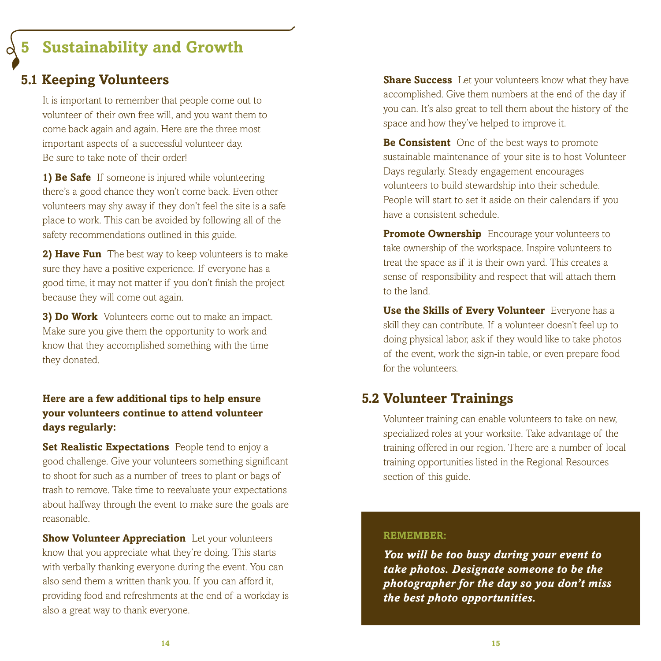### **5 Sustainability and Growth**

### **5.1 Keeping Volunteers**

It is important to remember that people come out to volunteer of their own free will, and you want them to come back again and again. Here are the three most important aspects of a successful volunteer day. Be sure to take note of their order!

**1) Be Safe** If someone is injured while volunteering there's a good chance they won't come back. Even other volunteers may shy away if they don't feel the site is a safe place to work. This can be avoided by following all of the safety recommendations outlined in this guide.

**2) Have Fun** The best way to keep volunteers is to make sure they have a positive experience. If everyone has a good time, it may not matter if you don't finish the project because they will come out again.

**3) Do Work** Volunteers come out to make an impact. Make sure you give them the opportunity to work and know that they accomplished something with the time they donated.

#### **Here are a few additional tips to help ensure your volunteers continue to attend volunteer days regularly:**

**Set Realistic Expectations** People tend to enjoy a good challenge. Give your volunteers something significant to shoot for such as a number of trees to plant or bags of trash to remove. Take time to reevaluate your expectations about halfway through the event to make sure the goals are reasonable.

**Show Volunteer Appreciation** Let your volunteers know that you appreciate what they're doing. This starts with verbally thanking everyone during the event. You can also send them a written thank you. If you can afford it, providing food and refreshments at the end of a workday is also a great way to thank everyone.

**Share Success** Let your volunteers know what they have accomplished. Give them numbers at the end of the day if you can. It's also great to tell them about the history of the space and how they've helped to improve it.

**Be Consistent** One of the best ways to promote sustainable maintenance of your site is to host Volunteer Days regularly. Steady engagement encourages volunteers to build stewardship into their schedule. People will start to set it aside on their calendars if you have a consistent schedule.

**Promote Ownership** Encourage your volunteers to take ownership of the workspace. Inspire volunteers to treat the space as if it is their own yard. This creates a sense of responsibility and respect that will attach them to the land.

**Use the Skills of Every Volunteer** Everyone has a skill they can contribute. If a volunteer doesn't feel up to doing physical labor, ask if they would like to take photos of the event, work the sign-in table, or even prepare food for the volunteers.

### **5.2 Volunteer Trainings**

Volunteer training can enable volunteers to take on new, specialized roles at your worksite. Take advantage of the training offered in our region. There are a number of local training opportunities listed in the Regional Resources section of this guide.

#### **Remember:**

*You will be too busy during your event to take photos. Designate someone to be the photographer for the day so you don't miss the best photo opportunities.*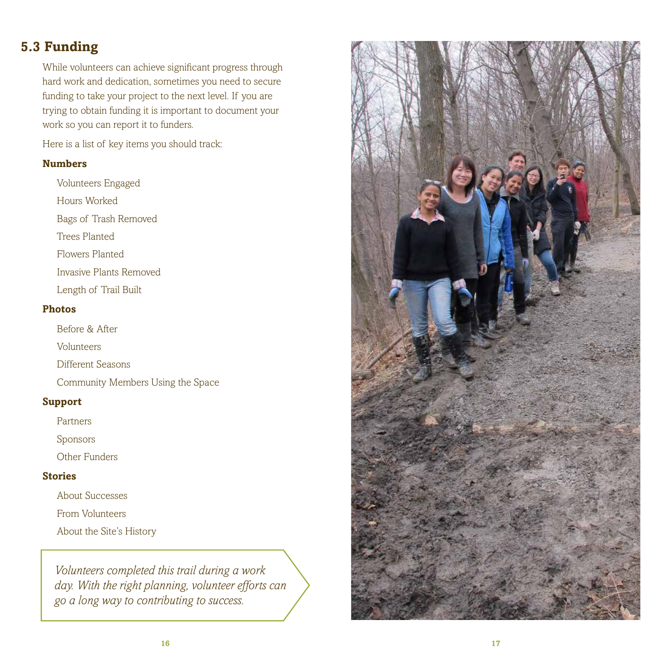### **5.3 Funding**

While volunteers can achieve significant progress through hard work and dedication, sometimes you need to secure funding to take your project to the next level. If you are trying to obtain funding it is important to document your work so you can report it to funders.

Here is a list of key items you should track:

#### **Numbers**

Volunteers Engaged Hours Worked Bags of Trash Removed Trees Planted Flowers Planted Invasive Plants Removed Length of Trail Built

#### **Photos**

Before & After

Volunteers

Different Seasons

Community Members Using the Space

#### **Support**

Partners

Sponsors

Other Funders

#### **Stories**

About Successes

From Volunteers

About the Site's History

*Volunteers completed this trail during a work day. With the right planning, volunteer efforts can go a long way to contributing to success.*

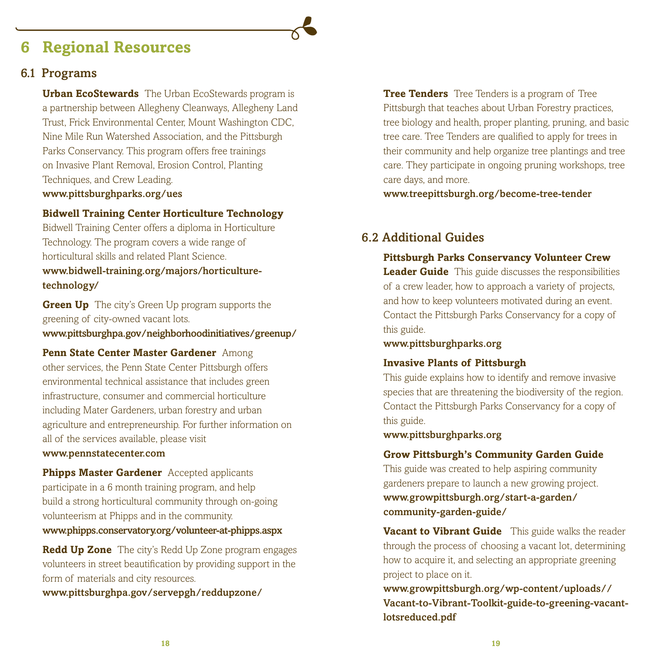### **6 Regional Resources**

#### 6.1 Programs

**Urban EcoStewards** The Urban EcoStewards program is a partnership between Allegheny Cleanways, Allegheny Land Trust, Frick Environmental Center, Mount Washington CDC, Nine Mile Run Watershed Association, and the Pittsburgh Parks Conservancy. This program offers free trainings on Invasive Plant Removal, Erosion Control, Planting Techniques, and Crew Leading. www.pittsburghparks.org/ues

#### **Bidwell Training Center Horticulture Technology**

Bidwell Training Center offers a diploma in Horticulture Technology. The program covers a wide range of horticultural skills and related Plant Science. www.bidwell-training.org/majors/horticulturetechnology/

**Green Up** The city's Green Up program supports the greening of city-owned vacant lots. www.pittsburghpa.gov/neighborhoodinitiatives/greenup/

#### **Penn State Center Master Gardener** Among

other services, the Penn State Center Pittsburgh offers environmental technical assistance that includes green infrastructure, consumer and commercial horticulture including Mater Gardeners, urban forestry and urban agriculture and entrepreneurship. For further information on all of the services available, please visit

#### www.pennstatecenter.com

**Phipps Master Gardener** Accepted applicants participate in a 6 month training program, and help build a strong horticultural community through on-going volunteerism at Phipps and in the community.

#### www.phipps.conservatory.org/volunteer-at-phipps.aspx

**Redd Up Zone** The city's Redd Up Zone program engages volunteers in street beautification by providing support in the form of materials and city resources.

www.pittsburghpa.gov/servepgh/reddupzone/

**Tree Tenders** Tree Tenders is a program of Tree Pittsburgh that teaches about Urban Forestry practices, tree biology and health, proper planting, pruning, and basic tree care. Tree Tenders are qualified to apply for trees in their community and help organize tree plantings and tree care. They participate in ongoing pruning workshops, tree care days, and more.

www.treepittsburgh.org/become-tree-tender

#### 6.2 Additional Guides

#### **Pittsburgh Parks Conservancy Volunteer Crew**

**Leader Guide** This guide discusses the responsibilities of a crew leader, how to approach a variety of projects, and how to keep volunteers motivated during an event. Contact the Pittsburgh Parks Conservancy for a copy of this guide.

www.pittsburghparks.org

#### **Invasive Plants of Pittsburgh**

This guide explains how to identify and remove invasive species that are threatening the biodiversity of the region. Contact the Pittsburgh Parks Conservancy for a copy of this guide.

#### www.pittsburghparks.org

#### **Grow Pittsburgh's Community Garden Guide**

This guide was created to help aspiring community gardeners prepare to launch a new growing project.

www.growpittsburgh.org/start-a-garden/ community-garden-guide/

**Vacant to Vibrant Guide** This guide walks the reader through the process of choosing a vacant lot, determining how to acquire it, and selecting an appropriate greening project to place on it.

www.growpittsburgh.org/wp-content/uploads// Vacant-to-Vibrant-Toolkit-guide-to-greening-vacantlotsreduced.pdf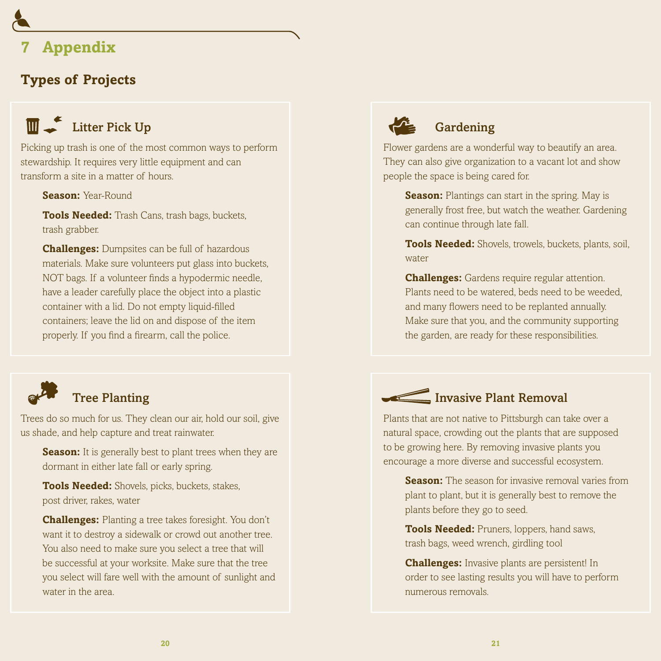### **7 Appendix**

### **Types of Projects**

# **Litter Pick Up**

Picking up trash is one of the most common ways to perform stewardship. It requires very little equipment and can transform a site in a matter of hours.

**Season:** Year-Round

**Tools Needed:** Trash Cans, trash bags, buckets, trash grabber.

**Challenges:** Dumpsites can be full of hazardous materials. Make sure volunteers put glass into buckets, NOT bags. If a volunteer finds a hypodermic needle, have a leader carefully place the object into a plastic container with a lid. Do not empty liquid-filled containers; leave the lid on and dispose of the item properly. If you find a firearm, call the police.



### Tree Planting

Trees do so much for us. They clean our air, hold our soil, give us shade, and help capture and treat rainwater.

**Season:** It is generally best to plant trees when they are dormant in either late fall or early spring.

**Tools Needed:** Shovels, picks, buckets, stakes, post driver, rakes, water

**Challenges:** Planting a tree takes foresight. You don't want it to destroy a sidewalk or crowd out another tree. You also need to make sure you select a tree that will be successful at your worksite. Make sure that the tree you select will fare well with the amount of sunlight and water in the area.



### Gardening

Flower gardens are a wonderful way to beautify an area. They can also give organization to a vacant lot and show people the space is being cared for.

**Season:** Plantings can start in the spring. May is generally frost free, but watch the weather. Gardening can continue through late fall.

**Tools Needed:** Shovels, trowels, buckets, plants, soil, water

**Challenges:** Gardens require regular attention. Plants need to be watered, beds need to be weeded, and many flowers need to be replanted annually. Make sure that you, and the community supporting the garden, are ready for these responsibilities.



Plants that are not native to Pittsburgh can take over a natural space, crowding out the plants that are supposed to be growing here. By removing invasive plants you encourage a more diverse and successful ecosystem.

**Season:** The season for invasive removal varies from plant to plant, but it is generally best to remove the plants before they go to seed.

**Tools Needed:** Pruners, loppers, hand saws, trash bags, weed wrench, girdling tool

**Challenges:** Invasive plants are persistent! In order to see lasting results you will have to perform numerous removals.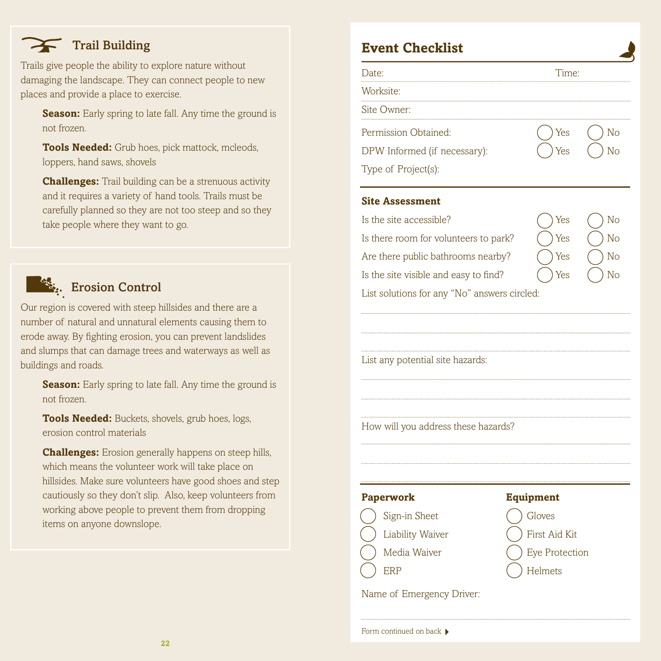### Trail Building

Trails give people the ability to explore nature without damaging the landscape. They can connect people to new places and provide a place to exercise.

**Season:** Early spring to late fall. Any time the ground is not frozen.

**Tools Needed:** Grub hoes, pick mattock, mcleods, loppers, hand saws, shovels

**Challenges:** Trail building can be a strenuous activity and it requires a variety of hand tools. Trails must be carefully planned so they are not too steep and so they take people where they want to go.



### **External Control**

Our region is covered with steep hillsides and there are a number of natural and unnatural elements causing them to erode away. By fighting erosion, you can prevent landslides and slumps that can damage trees and waterways as well as buildings and roads.

**Season:** Early spring to late fall. Any time the ground is not frozen.

**Tools Needed:** Buckets, shovels, grub hoes, logs, erosion control materials

**Challenges:** Erosion generally happens on steep hills, which means the volunteer work will take place on hillsides. Make sure volunteers have good shoes and step cautiously so they don't slip. Also, keep volunteers from working above people to prevent them from dropping items on anyone downslope.

### **Event Checklist**

Worksite:

Site Owner:

Permission Obtained: () Yes () No

DPW Informed (if necessary):  $($   $)$  Yes  $($   $)$  No



Type of Project(s):

#### **Site Assessment**

| Is the site accessible? | $\bigcap$ Yes | $\bigcirc$ Nc |
|-------------------------|---------------|---------------|
|-------------------------|---------------|---------------|

Is there room for volunteers to park?  $($   $)$  Yes  $($   $)$  No

Are there public bathrooms nearby?  $\left(\begin{array}{cc} \end{array}\right)$  Yes  $\left(\begin{array}{cc} \end{array}\right)$  No Is the site visible and easy to find?

| Yes | N                  |
|-----|--------------------|
| Yes | N                  |
| Yes | $\overline{\rm N}$ |
| Yes | N <sub>0</sub>     |

List solutions for any "No" answers circled:

List any potential site hazards:

How will you address these hazards?







Name of Emergency Driver: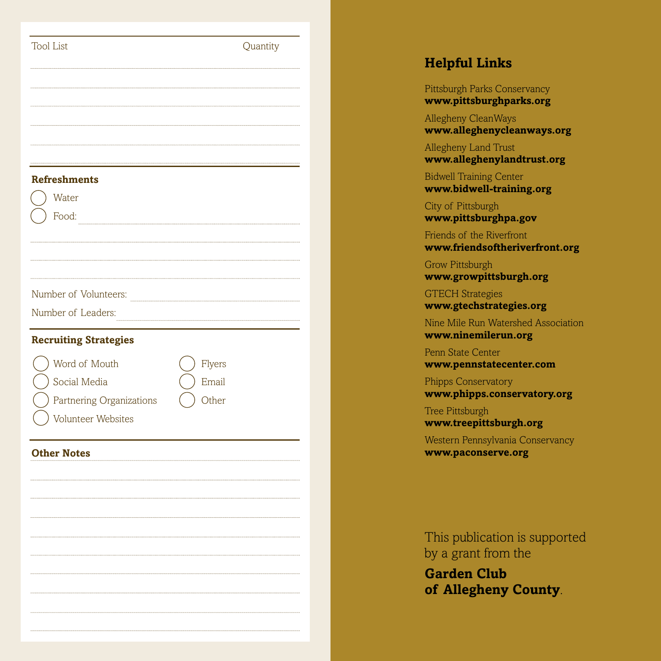| <b>Tool List</b>                                        | Quantity | <b>Helpful Linl</b>                           |
|---------------------------------------------------------|----------|-----------------------------------------------|
|                                                         |          | Pittsburgh Parks C<br>www.pittsburgl          |
|                                                         |          | Allegheny Clean <sub>W</sub><br>www.allegheny |
|                                                         |          | Allegheny Land T<br>www.allegheny             |
| <b>Refreshments</b>                                     |          | <b>Bidwell Training C</b><br>www.bidwell-tı   |
| Water<br>Food:                                          |          | City of Pittsburgh<br>www.pittsburgl          |
|                                                         |          | Friends of the Riv<br>www.friendsoft          |
|                                                         |          | Grow Pittsburgh<br>www.growpitts              |
| Number of Volunteers:                                   |          | <b>GTECH Strategies</b><br>www.gtechstrat     |
| Number of Leaders:                                      |          | Nine Mile Run Wa<br>www.ninemiler             |
| <b>Recruiting Strategies</b><br>Word of Mouth<br>Flyers |          | Penn State Center<br>www.pennstate            |
| Social Media<br>Email<br>Other                          |          | Phipps Conservate<br>www.phipps.co            |
| Partnering Organizations<br>Volunteer Websites          |          | Tree Pittsburgh<br>www.treepittsb             |
| <b>Other Notes</b>                                      |          | Western Pennsylv<br>www.paconserv             |
|                                                         |          |                                               |
|                                                         |          | This publicati<br>by a grant fro              |
|                                                         |          | <b>Garden Clu</b><br>of Alleghen              |
|                                                         |          |                                               |

### **Helpful Links**

Pittsburgh Parks Conservancy **www.pittsburghparks.org**

Allegheny CleanWays **www.alleghenycleanways.org**

Allegheny Land Trust **www.alleghenylandtrust.org**

Bidwell Training Center **www.bidwell-training.org**

City of Pittsburgh **www.pittsburghpa.gov**

Friends of the Riverfront **www.friendsoftheriverfront.org**

Grow Pittsburgh **www.growpittsburgh.org**

GTECH Strategies **www.gtechstrategies.org**

Nine Mile Run Watershed Association **www.ninemilerun.org**

Penn State Center **www.pennstatecenter.com**

Phipps Conservatory **www.phipps.conservatory.org**

Tree Pittsburgh **www.treepittsburgh.org**

Western Pennsylvania Conservancy **www.paconserve.org**

This publication is supported by a grant from the

**Garden Club of Allegheny County**.